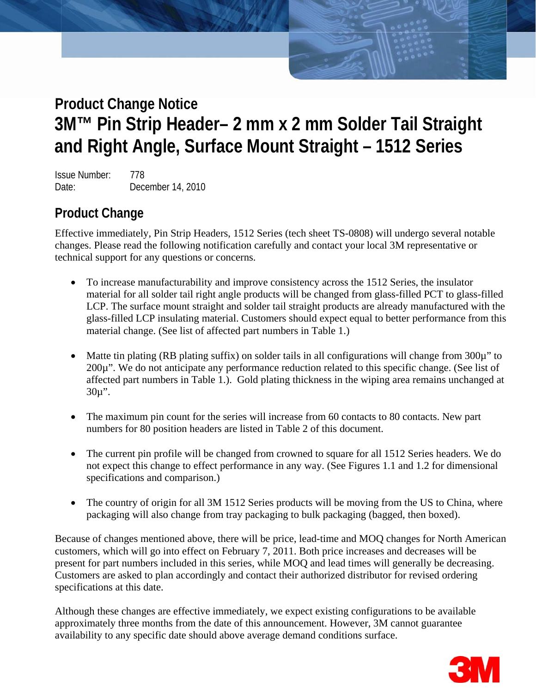Product Change Notice: 3M™ Pin Strip Header– 3M™ Pin Strip Strip Header– 2 mm Solder Tail Strip Strip Strip Str

Issue Number: 778 Date: December 14, 2010

**Angle, Surface Mount Straight – 1512 Series** 

# **Product Change**

Effective immediately, Pin Strip Headers, 1512 Series (tech sheet TS-0808) will undergo several notable changes. Please read the following notification carefully and contact your local 3M representative or technical support for any questions or concerns.

- To increase manufacturability and improve consistency across the 1512 Series, the insulator material for all solder tail right angle products will be changed from glass-filled PCT to glass-filled LCP. The surface mount straight and solder tail straight products are already manufactured with the glass-filled LCP insulating material. Customers should expect equal to better performance from this material change. (See list of affected part numbers in Table 1.)
- Matte tin plating (RB plating suffix) on solder tails in all configurations will change from 300 $\mu$ " to 200µ". We do not anticipate any performance reduction related to this specific change. (See list of affected part numbers in Table 1.). Gold plating thickness in the wiping area remains unchanged at  $30\mu$ ".
- The maximum pin count for the series will increase from 60 contacts to 80 contacts. New part numbers for 80 position headers are listed in Table 2 of this document.
- The current pin profile will be changed from crowned to square for all 1512 Series headers. We do not expect this change to effect performance in any way. (See Figures 1.1 and 1.2 for dimensional specifications and comparison.)
- The country of origin for all 3M 1512 Series products will be moving from the US to China, where packaging will also change from tray packaging to bulk packaging (bagged, then boxed).

Because of changes mentioned above, there will be price, lead-time and MOQ changes for North American customers, which will go into effect on February 7, 2011. Both price increases and decreases will be present for part numbers included in this series, while MOQ and lead times will generally be decreasing. Customers are asked to plan accordingly and contact their authorized distributor for revised ordering specifications at this date.

Although these changes are effective immediately, we expect existing configurations to be available approximately three months from the date of this announcement. However, 3M cannot guarantee availability to any specific date should above average demand conditions surface.

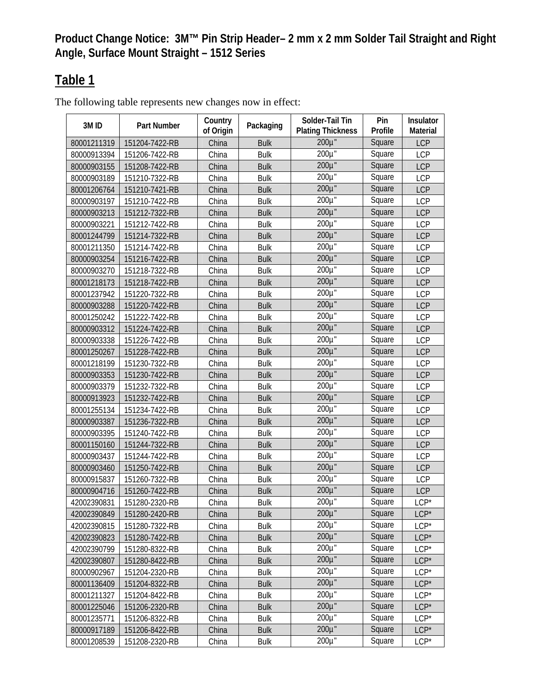# **Table 1**

The following table represents new changes now in effect:

| 3M ID       | Part Number    | Country<br>of Origin | Packaging   | Solder-Tail Tin<br><b>Plating Thickness</b> | Pin<br>Profile | Insulator<br>Material |
|-------------|----------------|----------------------|-------------|---------------------------------------------|----------------|-----------------------|
| 80001211319 | 151204-7422-RB | China                | <b>Bulk</b> | 200µ"                                       | Square         | <b>LCP</b>            |
| 80000913394 | 151206-7422-RB | China                | <b>Bulk</b> | 200µ"                                       | Square         | <b>LCP</b>            |
| 80000903155 | 151208-7422-RB | China                | <b>Bulk</b> | $200\mu$ "                                  | Square         | <b>LCP</b>            |
| 80000903189 | 151210-7322-RB | China                | <b>Bulk</b> | 200µ"                                       | Square         | <b>LCP</b>            |
| 80001206764 | 151210-7421-RB | China                | <b>Bulk</b> | 200µ"                                       | Square         | <b>LCP</b>            |
| 80000903197 | 151210-7422-RB | China                | <b>Bulk</b> | $200\mu$                                    | Square         | <b>LCP</b>            |
| 80000903213 | 151212-7322-RB | China                | <b>Bulk</b> | $200\mu$ "                                  | Square         | <b>LCP</b>            |
| 80000903221 | 151212-7422-RB | China                | <b>Bulk</b> | $200\mu$ "                                  | Square         | <b>LCP</b>            |
| 80001244799 | 151214-7322-RB | China                | <b>Bulk</b> | 200µ"                                       | Square         | <b>LCP</b>            |
| 80001211350 | 151214-7422-RB | China                | <b>Bulk</b> | 200µ"                                       | Square         | <b>LCP</b>            |
| 80000903254 | 151216-7422-RB | China                | <b>Bulk</b> | 200µ"                                       | Square         | <b>LCP</b>            |
| 80000903270 | 151218-7322-RB | China                | <b>Bulk</b> | 200µ"                                       | Square         | <b>LCP</b>            |
| 80001218173 | 151218-7422-RB | China                | <b>Bulk</b> | 200µ"                                       | Square         | <b>LCP</b>            |
| 80001237942 | 151220-7322-RB | China                | <b>Bulk</b> | 200µ"                                       | Square         | <b>LCP</b>            |
| 80000903288 | 151220-7422-RB | China                | <b>Bulk</b> | $200\mu$ "                                  | Square         | <b>LCP</b>            |
| 80001250242 | 151222-7422-RB | China                | <b>Bulk</b> | $200\mu$ "                                  | Square         | <b>LCP</b>            |
| 80000903312 | 151224-7422-RB | China                | <b>Bulk</b> | 200µ"                                       | Square         | <b>LCP</b>            |
| 80000903338 | 151226-7422-RB | China                | <b>Bulk</b> | 200µ"                                       | Square         | LCP                   |
| 80001250267 | 151228-7422-RB | China                | <b>Bulk</b> | $200\mu$ "                                  | Square         | <b>LCP</b>            |
| 80001218199 | 151230-7322-RB | China                | <b>Bulk</b> | 200µ"                                       | Square         | <b>LCP</b>            |
| 80000903353 | 151230-7422-RB | China                | <b>Bulk</b> | $200\mu$ "                                  | Square         | <b>LCP</b>            |
| 80000903379 | 151232-7322-RB | China                | <b>Bulk</b> | $200\mu$ "                                  | Square         | <b>LCP</b>            |
| 80000913923 | 151232-7422-RB | China                | <b>Bulk</b> | 200µ"                                       | Square         | <b>LCP</b>            |
| 80001255134 | 151234-7422-RB | China                | <b>Bulk</b> | 200µ"                                       | Square         | <b>LCP</b>            |
| 80000903387 | 151236-7322-RB | China                | <b>Bulk</b> | 200µ"                                       | Square         | <b>LCP</b>            |
| 80000903395 | 151240-7422-RB | China                | <b>Bulk</b> | $200\mu^T$                                  | Square         | <b>LCP</b>            |
| 80001150160 | 151244-7322-RB | China                | <b>Bulk</b> | $200\mu$ "                                  | Square         | <b>LCP</b>            |
| 80000903437 | 151244-7422-RB | China                | <b>Bulk</b> | 200µ"                                       | Square         | <b>LCP</b>            |
| 80000903460 | 151250-7422-RB | China                | <b>Bulk</b> | 200µ"                                       | Square         | <b>LCP</b>            |
| 80000915837 | 151260-7322-RB | China                | <b>Bulk</b> | 200µ"                                       | Square         | <b>LCP</b>            |
| 80000904716 | 151260-7422-RB | China                | <b>Bulk</b> | $200\mu$ "                                  | Square         | <b>LCP</b>            |
| 42002390831 | 151280-2320-RB | China                | <b>Bulk</b> | 200µ"                                       | Square         | $LCP*$                |
| 42002390849 | 151280-2420-RB | China                | <b>Bulk</b> | 200µ"                                       | Square         | $LCP*$                |
| 42002390815 | 151280-7322-RB | China                | <b>Bulk</b> | 200µ"                                       | Square         | $LCP*$                |
| 42002390823 | 151280-7422-RB | China                | <b>Bulk</b> | 200µ"                                       | Square         | $LCP*$                |
| 42002390799 | 151280-8322-RB | China                | <b>Bulk</b> | 200µ"                                       | Square         | $LCP*$                |
| 42002390807 | 151280-8422-RB | China                | <b>Bulk</b> | 200µ"                                       | Square         | $LCP*$                |
| 80000902967 | 151204-2320-RB | China                | <b>Bulk</b> | $200\mu$ "                                  | Square         | $LCP*$                |
| 80001136409 | 151204-8322-RB | China                | <b>Bulk</b> | 200µ"                                       | Square         | $LCP*$                |
| 80001211327 | 151204-8422-RB | China                | <b>Bulk</b> | 200µ"                                       | Square         | $LCP*$                |
| 80001225046 | 151206-2320-RB | China                | <b>Bulk</b> | 200µ"                                       | Square         | $LCP*$                |
| 80001235771 | 151206-8322-RB | China                | <b>Bulk</b> | 200µ"                                       | Square         | $LCP*$                |
| 80000917189 | 151206-8422-RB | China                | <b>Bulk</b> | 200µ"                                       | Square         | $LCP*$                |
| 80001208539 | 151208-2320-RB | China                | <b>Bulk</b> | 200µ"                                       | Square         | $LCP*$                |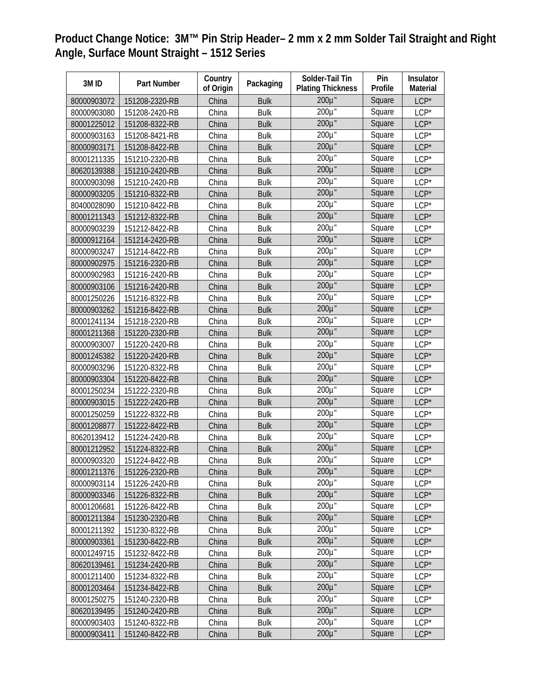| 3M ID       | Part Number    | Country<br>of Origin | Packaging   | Solder-Tail Tin<br><b>Plating Thickness</b> | Pin<br>Profile | Insulator<br><b>Material</b> |
|-------------|----------------|----------------------|-------------|---------------------------------------------|----------------|------------------------------|
| 80000903072 | 151208-2320-RB | China                | <b>Bulk</b> | 200µ"                                       | Square         | $LCP*$                       |
| 80000903080 | 151208-2420-RB | China                | <b>Bulk</b> | $200\mu$ "                                  | Square         | $LCP*$                       |
| 80001225012 | 151208-8322-RB | China                | <b>Bulk</b> | $200\mu$ "                                  | Square         | $LCP*$                       |
| 80000903163 | 151208-8421-RB | China                | <b>Bulk</b> | 200µ"                                       | Square         | $LCP*$                       |
| 80000903171 | 151208-8422-RB | China                | <b>Bulk</b> | 200µ"                                       | Square         | $LCP*$                       |
| 80001211335 | 151210-2320-RB | China                | <b>Bulk</b> | 200µ"                                       | Square         | $LCP*$                       |
| 80620139388 | 151210-2420-RB | China                | <b>Bulk</b> | $200\mu$ "                                  | Square         | $LCP*$                       |
| 80000903098 | 151210-2420-RB | China                | <b>Bulk</b> | $200\mu$ "                                  | Square         | $LCP*$                       |
| 80000903205 | 151210-8322-RB | China                | <b>Bulk</b> | $200\mu$ "                                  | Square         | $LCP*$                       |
| 80400028090 | 151210-8422-RB | China                | <b>Bulk</b> | 200µ"                                       | Square         | $LCP*$                       |
| 80001211343 | 151212-8322-RB | China                | <b>Bulk</b> | 200µ"                                       | Square         | $LCP*$                       |
| 80000903239 | 151212-8422-RB | China                | <b>Bulk</b> | $200\mu$ "                                  | Square         | $LCP*$                       |
| 80000912164 | 151214-2420-RB | China                | <b>Bulk</b> | $200\mu$ "                                  | Square         | $LCP*$                       |
| 80000903247 | 151214-8422-RB | China                | <b>Bulk</b> | $200\mu$ "                                  | Square         | $LCP*$                       |
| 80000902975 | 151216-2320-RB | China                | <b>Bulk</b> | 200µ"                                       | Square         | $LCP*$                       |
| 80000902983 | 151216-2420-RB | China                | <b>Bulk</b> | 200µ"                                       | Square         | $LCP*$                       |
| 80000903106 | 151216-2420-RB | China                | <b>Bulk</b> | $200\mu$ "                                  | Square         | $LCP*$                       |
| 80001250226 | 151216-8322-RB | China                | <b>Bulk</b> | $200\overline{\mu}$ "                       | Square         | $LCP*$                       |
| 80000903262 | 151216-8422-RB | China                | <b>Bulk</b> | $200\mu$ "                                  | Square         | $LCP*$                       |
| 80001241134 | 151218-2320-RB | China                | <b>Bulk</b> | $200\mu$ "                                  | Square         | $LCP*$                       |
| 80001211368 | 151220-2320-RB | China                | <b>Bulk</b> | 200µ"                                       | Square         | $LCP*$                       |
| 80000903007 | 151220-2420-RB | China                | <b>Bulk</b> | 200µ"                                       | Square         | $LCP*$                       |
| 80001245382 | 151220-2420-RB | China                | <b>Bulk</b> | 200µ"                                       | Square         | $LCP*$                       |
| 80000903296 | 151220-8322-RB | China                | <b>Bulk</b> | $200\mu^T$                                  | Square         | $LCP*$                       |
| 80000903304 | 151220-8422-RB | China                | <b>Bulk</b> | 200µ"                                       | Square         | $LCP*$                       |
| 80001250234 | 151222-2320-RB | China                | <b>Bulk</b> | $200\mu$ "                                  | Square         | $LCP*$                       |
| 80000903015 | 151222-2420-RB | China                | <b>Bulk</b> | $200\mu$ "                                  | Square         | $LCP*$                       |
| 80001250259 | 151222-8322-RB | China                | <b>Bulk</b> | 200µ"                                       | Square         | $LCP*$                       |
| 80001208877 | 151222-8422-RB | China                | <b>Bulk</b> | 200µ"                                       | Square         | $LCP*$                       |
| 80620139412 | 151224-2420-RB | China                | <b>Bulk</b> | 200µ"                                       | Square         | $LCP*$                       |
| 80001212952 | 151224-8322-RB | China                | <b>Bulk</b> | $200\mu$ "                                  | Square         | $LCP*$                       |
| 80000903320 | 151224-8422-RB | China                | <b>Bulk</b> | $200\overline{\mu}$ "                       | Square         | $LCP*$                       |
| 80001211376 | 151226-2320-RB | China                | <b>Bulk</b> | $200\mu$ "                                  | Square         | $LCP*$                       |
| 80000903114 | 151226-2420-RB | China                | <b>Bulk</b> | 200µ"                                       | Square         | $LCP*$                       |
| 80000903346 | 151226-8322-RB | China                | <b>Bulk</b> | 200µ"                                       | Square         | $LCP*$                       |
| 80001206681 | 151226-8422-RB | China                | <b>Bulk</b> | 200µ"                                       | Square         | $LCP*$                       |
| 80001211384 | 151230-2320-RB | China                | <b>Bulk</b> | 200µ"                                       | Square         | $LCP*$                       |
| 80001211392 | 151230-8322-RB | China                | <b>Bulk</b> | $200\mu$ "                                  | Square         | $LCP*$                       |
| 80000903361 | 151230-8422-RB | China                | <b>Bulk</b> | 200µ"                                       | Square         | $LCP*$                       |
| 80001249715 | 151232-8422-RB | China                | <b>Bulk</b> | 200µ"                                       | Square         | $LCP*$                       |
| 80620139461 | 151234-2420-RB | China                | <b>Bulk</b> | 200µ"                                       | Square         | $LCP*$                       |
| 80001211400 | 151234-8322-RB | China                | <b>Bulk</b> | $200\mu$ "                                  | Square         | $LCP*$                       |
| 80001203464 | 151234-8422-RB | China                | <b>Bulk</b> | 200µ"                                       | Square         | $LCP*$                       |
| 80001250275 | 151240-2320-RB | China                | <b>Bulk</b> | 200µ"                                       | Square         | $LCP*$                       |
| 80620139495 | 151240-2420-RB | China                | <b>Bulk</b> | 200µ"                                       | Square         | $LCP^*$                      |
| 80000903403 | 151240-8322-RB | China                | <b>Bulk</b> | 200µ"                                       | Square         | $LCP*$                       |
| 80000903411 | 151240-8422-RB | China                | <b>Bulk</b> | $200\mu$ "                                  | Square         | $LCP*$                       |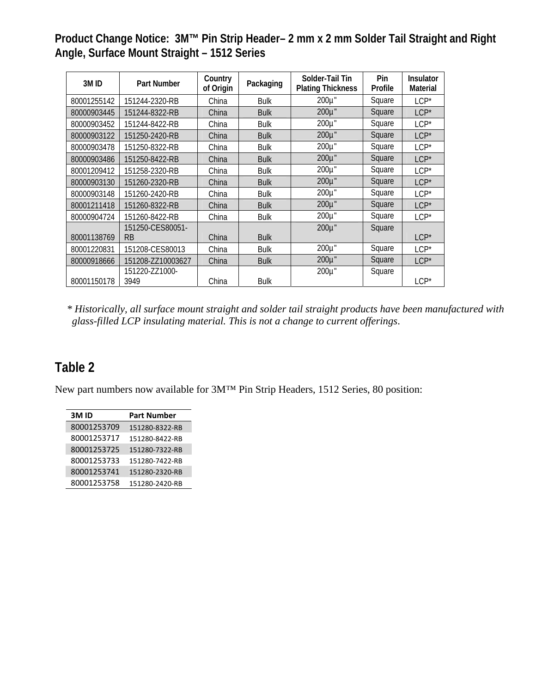| 3M ID       | <b>Part Number</b>     | Country<br>of Origin | Packaging   | Solder-Tail Tin<br><b>Plating Thickness</b> | Pin<br>Profile | <b>Insulator</b><br>Material |
|-------------|------------------------|----------------------|-------------|---------------------------------------------|----------------|------------------------------|
| 80001255142 | 151244-2320-RB         | China                | <b>Bulk</b> | 200µ"                                       | Square         | $LCP*$                       |
| 80000903445 | 151244-8322-RB         | China                | <b>Bulk</b> | 200µ"                                       | Square         | $LCP*$                       |
| 80000903452 | 151244-8422-RB         | China                | <b>Bulk</b> | 200µ"                                       | Square         | $LCP*$                       |
| 80000903122 | 151250-2420-RB         | China                | <b>Bulk</b> | 200µ"                                       | Square         | $LCP*$                       |
| 80000903478 | 151250-8322-RB         | China                | <b>Bulk</b> | 200µ"                                       | Square         | $LCP*$                       |
| 80000903486 | 151250-8422-RB         | China                | <b>Bulk</b> | $200\mu$ "                                  | Square         | $LCP*$                       |
| 80001209412 | 151258-2320-RB         | China                | <b>Bulk</b> | $200\mu$ "                                  | Square         | $LCP*$                       |
| 80000903130 | 151260-2320-RB         | China                | <b>Bulk</b> | 200µ"                                       | Square         | $ICP^*$                      |
| 80000903148 | 151260-2420-RB         | China                | <b>Bulk</b> | 200µ"                                       | Square         | $LCP*$                       |
| 80001211418 | 151260-8322-RB         | China                | <b>Bulk</b> | 200µ"                                       | Square         | $LCP*$                       |
| 80000904724 | 151260-8422-RB         | China                | <b>Bulk</b> | 200µ"                                       | Square         | $LCP*$                       |
| 80001138769 | 151250-CES80051-<br>RB | China                | <b>Bulk</b> | 200µ"                                       | Square         | $LCP*$                       |
| 80001220831 | 151208-CES80013        | China                | <b>Bulk</b> | 200µ"                                       | Square         | $LCP*$                       |
| 80000918666 | 151208-ZZ10003627      | China                | <b>Bulk</b> | $200\mu$ "                                  | Square         | $LCP*$                       |
| 80001150178 | 151220-ZZ1000-<br>3949 | China                | <b>Bulk</b> | 200µ"                                       | Square         | $LCP*$                       |

*\* Historically, all surface mount straight and solder tail straight products have been manufactured with glass-filled LCP insulating material. This is not a change to current offerings*.

## **Table 2**

New part numbers now available for 3M™ Pin Strip Headers, 1512 Series, 80 position:

| 3M ID       | <b>Part Number</b> |
|-------------|--------------------|
| 80001253709 | 151280-8322-RB     |
| 80001253717 | 151280-8422-RB     |
| 80001253725 | 151280-7322-RB     |
| 80001253733 | 151280-7422-RB     |
| 80001253741 | 151280-2320-RB     |
| 80001253758 | 151280-2420-RB     |